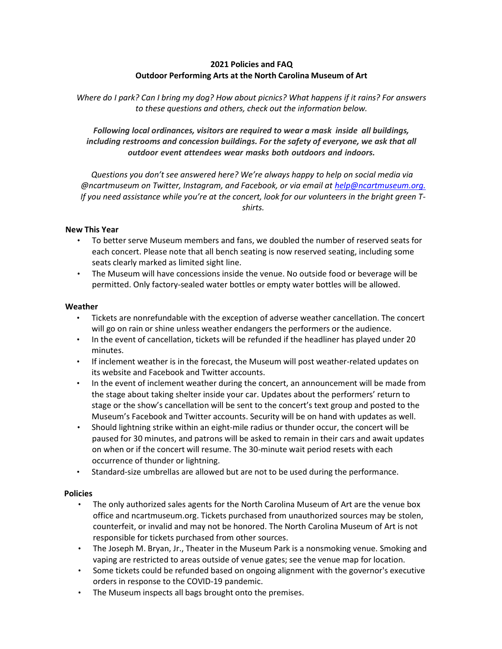# 2021 Policies and FAQ Outdoor Performing Arts at the North Carolina Museum of Art

Where do I park? Can I bring my dog? How about picnics? What happens if it rains? For answers to these questions and others, check out the information below.

Following local ordinances, visitors are required to wear a mask inside all buildings, including restrooms and concession buildings. For the safety of everyone, we ask that all outdoor event attendees wear masks both outdoors and indoors.

Questions you don't see answered here? We're always happy to help on social media via @ncartmuseum on Twitter, Instagram, and Facebook, or via email at help@ncartmuseum.org. If you need assistance while you're at the concert, look for our volunteers in the bright green Tshirts.

### New This Year

- To better serve Museum members and fans, we doubled the number of reserved seats for each concert. Please note that all bench seating is now reserved seating, including some seats clearly marked as limited sight line.
- The Museum will have concessions inside the venue. No outside food or beverage will be permitted. Only factory-sealed water bottles or empty water bottles will be allowed.

#### Weather

- Tickets are nonrefundable with the exception of adverse weather cancellation. The concert will go on rain or shine unless weather endangers the performers or the audience.
- In the event of cancellation, tickets will be refunded if the headliner has played under 20 minutes.
- If inclement weather is in the forecast, the Museum will post weather-related updates on its website and Facebook and Twitter accounts.
- In the event of inclement weather during the concert, an announcement will be made from the stage about taking shelter inside your car. Updates about the performers' return to stage or the show's cancellation will be sent to the concert's text group and posted to the Museum's Facebook and Twitter accounts. Security will be on hand with updates as well.
- Should lightning strike within an eight-mile radius or thunder occur, the concert will be paused for 30 minutes, and patrons will be asked to remain in their cars and await updates on when or if the concert will resume. The 30-minute wait period resets with each occurrence of thunder or lightning.
- Standard-size umbrellas are allowed but are not to be used during the performance.

#### **Policies**

- The only authorized sales agents for the North Carolina Museum of Art are the venue box office and ncartmuseum.org. Tickets purchased from unauthorized sources may be stolen, counterfeit, or invalid and may not be honored. The North Carolina Museum of Art is not responsible for tickets purchased from other sources.
- The Joseph M. Bryan, Jr., Theater in the Museum Park is a nonsmoking venue. Smoking and vaping are restricted to areas outside of venue gates; see the venue map for location.
- Some tickets could be refunded based on ongoing alignment with the governor's executive orders in response to the COVID-19 pandemic.
- The Museum inspects all bags brought onto the premises.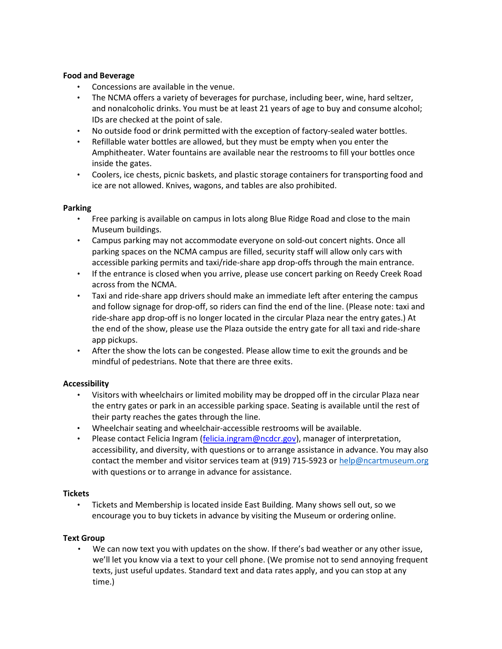### Food and Beverage

- Concessions are available in the venue.
- The NCMA offers a variety of beverages for purchase, including beer, wine, hard seltzer, and nonalcoholic drinks. You must be at least 21 years of age to buy and consume alcohol; IDs are checked at the point of sale.
- No outside food or drink permitted with the exception of factory-sealed water bottles.
- Refillable water bottles are allowed, but they must be empty when you enter the Amphitheater. Water fountains are available near the restrooms to fill your bottles once inside the gates.
- Coolers, ice chests, picnic baskets, and plastic storage containers for transporting food and ice are not allowed. Knives, wagons, and tables are also prohibited.

### Parking

- Free parking is available on campus in lots along Blue Ridge Road and close to the main Museum buildings.
- Campus parking may not accommodate everyone on sold-out concert nights. Once all parking spaces on the NCMA campus are filled, security staff will allow only cars with accessible parking permits and taxi/ride-share app drop-offs through the main entrance.
- If the entrance is closed when you arrive, please use concert parking on Reedy Creek Road across from the NCMA.
- Taxi and ride-share app drivers should make an immediate left after entering the campus and follow signage for drop-off, so riders can find the end of the line. (Please note: taxi and ride-share app drop-off is no longer located in the circular Plaza near the entry gates.) At the end of the show, please use the Plaza outside the entry gate for all taxi and ride-share app pickups.
- After the show the lots can be congested. Please allow time to exit the grounds and be mindful of pedestrians. Note that there are three exits.

# Accessibility

- Visitors with wheelchairs or limited mobility may be dropped off in the circular Plaza near the entry gates or park in an accessible parking space. Seating is available until the rest of their party reaches the gates through the line.
- Wheelchair seating and wheelchair-accessible restrooms will be available.
- Please contact Felicia Ingram (felicia.ingram@ncdcr.gov), manager of interpretation, accessibility, and diversity, with questions or to arrange assistance in advance. You may also contact the member and visitor services team at (919) 715-5923 or help@ncartmuseum.org with questions or to arrange in advance for assistance.

### **Tickets**

• Tickets and Membership is located inside East Building. Many shows sell out, so we encourage you to buy tickets in advance by visiting the Museum or ordering online.

### Text Group

• We can now text you with updates on the show. If there's bad weather or any other issue, we'll let you know via a text to your cell phone. (We promise not to send annoying frequent texts, just useful updates. Standard text and data rates apply, and you can stop at any time.)